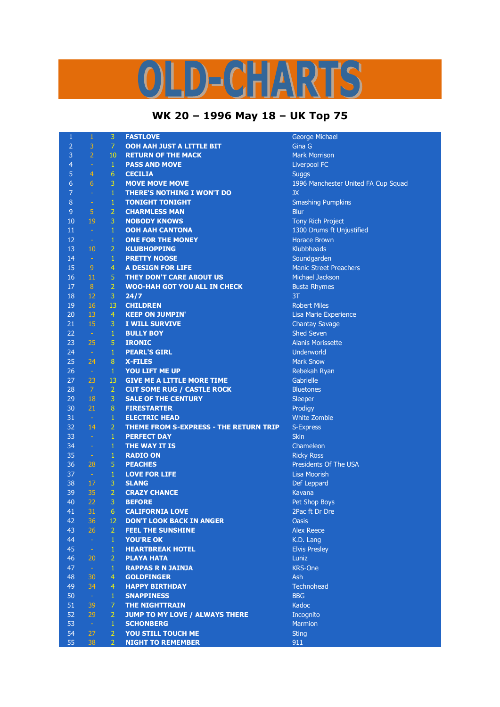## D-CHARTS L,

## **WK 20 – 1996 May 18 – UK Top 75**

| 1               | $\mathbf{1}$   | 3                              | <b>FASTLOVE</b>                               | George Michael                      |
|-----------------|----------------|--------------------------------|-----------------------------------------------|-------------------------------------|
| $\overline{2}$  | 3              | 7                              | OOH AAH JUST A LITTLE BIT                     | Gina G                              |
| 3               | $\overline{2}$ | 10                             | <b>RETURN OF THE MACK</b>                     | <b>Mark Morrison</b>                |
| 4               | $\blacksquare$ | $\mathbf{1}$                   | <b>PASS AND MOVE</b>                          | Liverpool FC                        |
| 5               | $\overline{4}$ | 6                              | <b>CECILIA</b>                                | <b>Suggs</b>                        |
| $6\phantom{1}6$ | 6              | 3                              | <b>MOVE MOVE MOVE</b>                         | 1996 Manchester United FA Cup Squad |
| $\overline{7}$  | $\omega$       | $\mathbf{1}$                   | <b>THERE'S NOTHING I WON'T DO</b>             | <b>JX</b>                           |
| 8               | $\omega$       | $\,1\,$                        | <b>TONIGHT TONIGHT</b>                        | <b>Smashing Pumpkins</b>            |
| 9               | 5              | $\overline{2}$                 | <b>CHARMLESS MAN</b>                          | <b>Blur</b>                         |
| 10              | 19             | 3                              | <b>NOBODY KNOWS</b>                           | Tony Rich Project                   |
| 11              | $\sim$         | $\mathbf{1}$                   | <b>OOH AAH CANTONA</b>                        | 1300 Drums ft Unjustified           |
| 12              | $\omega$       | $\mathbf{1}$                   | <b>ONE FOR THE MONEY</b>                      | Horace Brown                        |
| 13              | 10             | $\overline{2}$                 | <b>KLUBHOPPING</b>                            | Klubbheads                          |
| 14              | $\pm$          | $\mathbf{1}$                   | <b>PRETTY NOOSE</b>                           | Soundgarden                         |
| 15              | $\overline{9}$ | $\overline{4}$                 | <b>A DESIGN FOR LIFE</b>                      | <b>Manic Street Preachers</b>       |
| 16              | 11             | 5                              | THEY DON'T CARE ABOUT US                      | Michael Jackson                     |
| 17              | 8              | $\overline{2}$                 | <b>WOO-HAH GOT YOU ALL IN CHECK</b>           | <b>Busta Rhymes</b>                 |
| 18              | 12             | $\mathbf{3}$                   | 24/7                                          | 3T                                  |
| 19              | 16             | 13                             | <b>CHILDREN</b>                               | <b>Robert Miles</b>                 |
| 20              | 13             | $\overline{4}$                 | <b>KEEP ON JUMPIN'</b>                        | Lisa Marie Experience               |
| 21              | 15             | $\mathbf{3}$                   | <b>I WILL SURVIVE</b>                         | <b>Chantay Savage</b>               |
| 22              | $\sim$         | $\mathbf{1}$                   | <b>BULLY BOY</b>                              | <b>Shed Seven</b>                   |
| 23              | 25             | 5                              | <b>IRONIC</b>                                 | <b>Alanis Morissette</b>            |
| 24              | $\sim$         | $\mathbf{1}$                   | <b>PEARL'S GIRL</b>                           | Underworld                          |
| 25              | 24             | 8                              | <b>X-FILES</b>                                | <b>Mark Snow</b>                    |
| 26              | $\sim$         | $\mathbf{1}$                   | <b>YOU LIFT ME UP</b>                         |                                     |
| 27              | 23             | 13                             | <b>GIVE ME A LITTLE MORE TIME</b>             | Rebekah Ryan<br>Gabrielle           |
| 28              | $\overline{7}$ | $\overline{2}$                 |                                               |                                     |
| 29              | 18             | 3                              | <b>CUT SOME RUG / CASTLE ROCK</b>             | <b>Bluetones</b>                    |
| 30              | 21             | 8                              | <b>SALE OF THE CENTURY</b>                    | Sleeper                             |
|                 |                |                                | <b>FIRESTARTER</b>                            | Prodigy<br><b>White Zombie</b>      |
| 31<br>32        | $\sim$         | $\mathbf{1}$<br>$\overline{2}$ | <b>ELECTRIC HEAD</b>                          |                                     |
|                 | 14             |                                | <b>THEME FROM S-EXPRESS - THE RETURN TRIP</b> | S-Express                           |
| 33<br>34        | $\omega$       | $\mathbf{1}$                   | <b>PERFECT DAY</b>                            | <b>Skin</b><br>Chameleon            |
|                 | $\omega$       | $\mathbf{1}$                   | THE WAY IT IS                                 |                                     |
| 35              | $\sim$         | $\mathbf{1}$                   | <b>RADIO ON</b>                               | <b>Ricky Ross</b>                   |
| 36              | 28             | $\overline{5}$                 | <b>PEACHES</b>                                | Presidents Of The USA               |
| 37              | $\sim$         | $\,1\,$                        | <b>LOVE FOR LIFE</b>                          | Lisa Moorish                        |
| 38              | 17             | $\mathbf{3}$                   | <b>SLANG</b>                                  | Def Leppard                         |
| 39              | 35             | $\overline{2}$                 | <b>CRAZY CHANCE</b>                           | Kavana                              |
| 40              | 22             | 3                              | <b>BEFORE</b>                                 | Pet Shop Boys                       |
| 41              | 31             | 6 <sup>1</sup>                 | <b>CALIFORNIA LOVE</b>                        | 2Pac ft Dr Dre                      |
| 42              | 36             | 12                             | <b>DON'T LOOK BACK IN ANGER</b>               | <b>Oasis</b>                        |
| 43              | 26             | $\overline{2}$                 | <b>FEEL THE SUNSHINE</b>                      | <b>Alex Reece</b>                   |
| 44              | $\omega$       | $\mathbf{1}$                   | <b>YOU'RE OK</b>                              | K.D. Lang                           |
| 45              | $\omega$       | $\mathbf{1}$                   | <b>HEARTBREAK HOTEL</b>                       | <b>Elvis Presley</b>                |
| 46              | 20             | $\overline{2}$                 | <b>PLAYA HATA</b>                             | Luniz                               |
| 47              | $\sim$         | $\mathbf{1}$                   | <b>RAPPAS R N JAINJA</b>                      | <b>KRS-One</b>                      |
| 48              | 30             | $\overline{4}$                 | <b>GOLDFINGER</b>                             | Ash                                 |
| 49              | 34             | $\overline{4}$                 | <b>HAPPY BIRTHDAY</b>                         | Technohead                          |
| 50              | $\sim$         | $\mathbf{1}$                   | <b>SNAPPINESS</b>                             | <b>BBG</b>                          |
| 51              | 39             | 7                              | <b>THE NIGHTTRAIN</b>                         | Kadoc                               |
| 52              | 29             | $\overline{2}$                 | JUMP TO MY LOVE / ALWAYS THERE                | Incognito                           |
| 53              | $\omega$       | $\mathbf{1}$                   | <b>SCHONBERG</b>                              | <b>Marmion</b>                      |
| 54              | 27             | $\overline{2}$                 | YOU STILL TOUCH ME                            | <b>Sting</b>                        |
| 55              | 38             | $\overline{2}$                 | <b>NIGHT TO REMEMBER</b>                      | 911                                 |